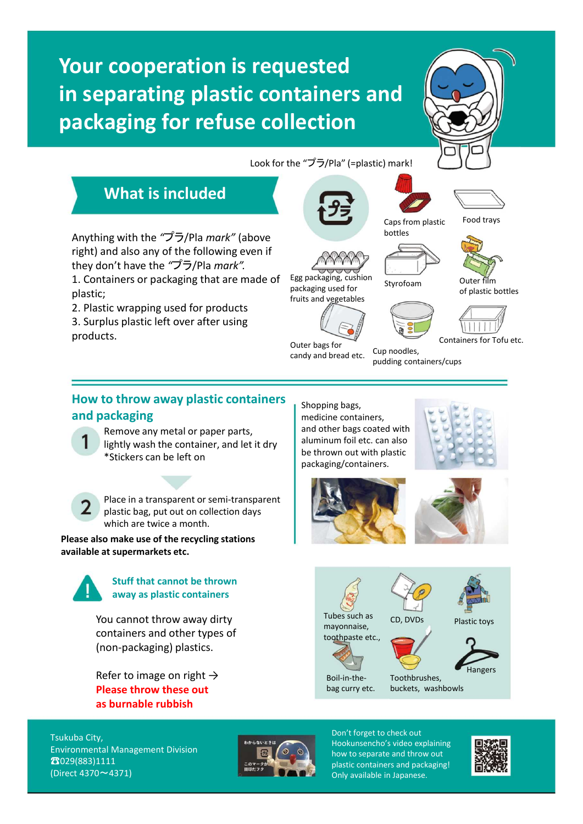# **Your cooperation is requested in separating plastic containers and packaging for refuse collection**



#### Look for the "プラ/Pla" (=plastic) mark!





## **What is included**

Anything with the *"*プラ/Pla *mark"* (above right) and also any of the following even if

1. Containers or packaging that are made of

they don't have the *"*プラ/Pla *mark".*

2. Plastic wrapping used for products 3. Surplus plastic left over after using

Egg packaging, cushion packaging used for fruits and vegetables







Styrofoam Outer film of plastic bottles



Outer bags for candy and bread etc. Cup noodles, pudding containers/cups Containers for Tofu etc.

### **How to throw away plastic containers and packaging**

Remove any metal or paper parts, lightly wash the container, and let it dry \*Stickers can be left on



plastic;

products.

Place in a transparent or semi-transparent plastic bag, put out on collection days which are twice a month.

**Please also make use of the recycling stations available at supermarkets etc.**



**Stuff that cannot be thrown away as plastic containers**

You cannot throw away dirty containers and other types of (non-packaging) plastics.

Refer to image on right  $\rightarrow$ **Please throw these out as burnable rubbish**

Shopping bags, medicine containers, and other bags coated with aluminum foil etc. can also be thrown out with plastic packaging/containers.









bag curry etc.

buckets, washbowls

Tsukuba City, Environmental Management Division ☎029(883)1111 (Direct 4370~4371)



Don't forget to check out Hookunsencho's video explaining how to separate and throw out plastic containers and packaging! Only available in Japanese.



Hangers